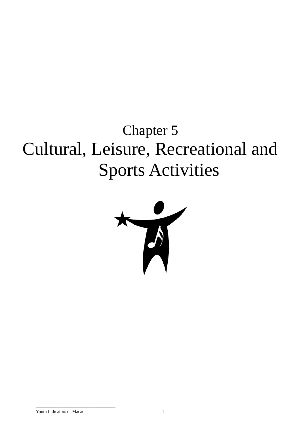# Chapter 5 Cultural, Leisure, Recreational and Sports Activities



\_\_\_\_\_\_\_\_\_\_\_\_\_\_\_\_\_\_\_\_\_\_\_\_\_\_\_\_\_\_\_\_\_\_\_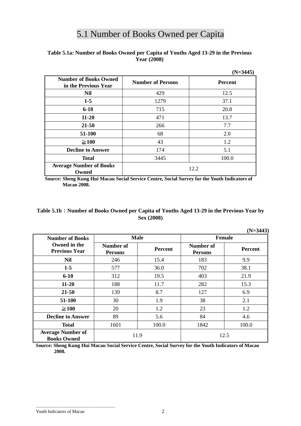# 5.1 Number of Books Owned per Capita

# **Table 5.1a: Number of Books Owned per Capita of Youths Aged 13-29 in the Previous Year (2008)**

|                                                      |                          | $(N=3445)$     |
|------------------------------------------------------|--------------------------|----------------|
| <b>Number of Books Owned</b><br>in the Previous Year | <b>Number of Persons</b> | <b>Percent</b> |
| <b>Nil</b>                                           | 429                      | 12.5           |
| $1-5$                                                | 1279                     | 37.1           |
| $6 - 10$                                             | 715                      | 20.8           |
| $11 - 20$                                            | 471                      | 13.7           |
| $21 - 50$                                            | 266                      | 7.7            |
| 51-100                                               | 68                       | 2.0            |
| $\geq 100$                                           | 43                       | 1.2            |
| <b>Decline to Answer</b>                             | 174                      | 5.1            |
| <b>Total</b>                                         | 3445                     | 100.0          |
| <b>Average Number of Books</b><br>Owned              |                          | 12.2           |

**Source: Sheng Kung Hui Macau Social Service Centre, Social Survey for the Youth Indicators of Macao 2008.** 

# **Table 5.1b**:**Number of Books Owned per Capita of Youths Aged 13-29 in the Previous Year by Sex (2008)**

| $(N=3443)$                                     |                             |                |                             |                |  |
|------------------------------------------------|-----------------------------|----------------|-----------------------------|----------------|--|
| <b>Number of Books</b>                         |                             | <b>Male</b>    | <b>Female</b>               |                |  |
| Owned in the<br><b>Previous Year</b>           | Number of<br><b>Persons</b> | <b>Percent</b> | Number of<br><b>Persons</b> | <b>Percent</b> |  |
| <b>Nil</b>                                     | 246                         | 15.4           | 183                         | 9.9            |  |
| $1-5$                                          | 577                         | 36.0           | 702                         | 38.1           |  |
| $6 - 10$                                       | 312                         | 19.5           | 403                         | 21.9           |  |
| $11 - 20$                                      | 188                         | 11.7           | 282                         | 15.3           |  |
| 21-50                                          | 139                         | 8.7            | 127                         | 6.9            |  |
| 51-100                                         | 30                          | 1.9            | 38                          | 2.1            |  |
| $\geq 100$                                     | 20                          | 1.2            | 23                          | 1.2            |  |
| <b>Decline to Answer</b>                       | 89                          | 5.6            | 84                          | 4.6            |  |
| <b>Total</b>                                   | 1601                        | 100.0          | 1842                        | 100.0          |  |
| <b>Average Number of</b><br><b>Books Owned</b> | 11.9                        |                | 12.5                        |                |  |

**Source: Sheng Kung Hui Macau Social Service Centre, Social Survey for the Youth Indicators of Macao 2008.** 

\_\_\_\_\_\_\_\_\_\_\_\_\_\_\_\_\_\_\_\_\_\_\_\_\_\_\_\_\_\_\_\_\_\_\_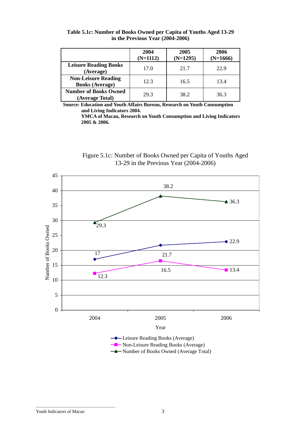|                                                      | 2004<br>$(N=1112)$ | 2005<br>$(N=1295)$ | 2006<br>$(N=1666)$ |
|------------------------------------------------------|--------------------|--------------------|--------------------|
| <b>Leisure Reading Books</b><br>(Average)            | 17.0               | 21.7               | 22.9               |
| <b>Non-Leisure Reading</b><br><b>Books (Average)</b> | 12.3               | 16.5               | 13.4               |
| <b>Number of Books Owned</b><br>(Average Total)      | 29.3               | 38.2               | 36.3               |

**Table 5.1c: Number of Books Owned per Capita of Youths Aged 13-29 in the Previous Year (2004-2006)** 

**Source: Education and Youth Affairs Bureau, Research on Youth Consumption and Living Indicators 2004.** 

> **YMCA of Macau, Research on Youth Consumption and Living Indicators 2005 & 2006.**





**A** Number of Books Owned (Average Total)

\_\_\_\_\_\_\_\_\_\_\_\_\_\_\_\_\_\_\_\_\_\_\_\_\_\_\_\_\_\_\_\_\_\_\_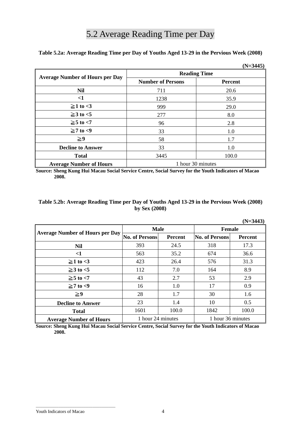# 5.2 Average Reading Time per Day

**Table 5.2a: Average Reading Time per Day of Youths Aged 13-29 in the Pervious Week (2008)** 

|                                        |                          | $(N=3445)$     |
|----------------------------------------|--------------------------|----------------|
| <b>Average Number of Hours per Day</b> | <b>Reading Time</b>      |                |
|                                        | <b>Number of Persons</b> | <b>Percent</b> |
| <b>Nil</b>                             | 711                      | 20.6           |
| $\leq$ 1                               | 1238                     | 35.9           |
| $\geq$ 1 to <3                         | 999                      | 29.0           |
| $\geq$ 3 to <5                         | 277                      | 8.0            |
| $\geq 5$ to $<$ 7                      | 96                       | 2.8            |
| $\geq 7$ to <9                         | 33                       | 1.0            |
| $\geq 9$                               | 58                       | 1.7            |
| <b>Decline to Answer</b>               | 33                       | 1.0            |
| <b>Total</b>                           | 3445                     | 100.0          |
| <b>Average Number of Hours</b>         | 1 hour 30 minutes        |                |

**Source: Sheng Kung Hui Macau Social Service Centre, Social Survey for the Youth Indicators of Macao 2008.** 

| Table 5.2b: Average Reading Time per Day of Youths Aged 13-29 in the Pervious Week (2008) |
|-------------------------------------------------------------------------------------------|
| by Sex $(2008)$                                                                           |

|                                        |                                        |                |                | $(N=3443)$     |  |
|----------------------------------------|----------------------------------------|----------------|----------------|----------------|--|
| <b>Average Number of Hours per Day</b> | <b>Male</b>                            |                | <b>Female</b>  |                |  |
|                                        | <b>No. of Persons</b>                  | <b>Percent</b> | No. of Persons | <b>Percent</b> |  |
| <b>Nil</b>                             | 393                                    | 24.5           | 318            | 17.3           |  |
| $<$ 1                                  | 563                                    | 35.2           | 674            | 36.6           |  |
| $\geq$ 1 to <3                         | 423                                    | 26.4           | 576            | 31.3           |  |
| $\geq$ 3 to <5                         | 112                                    | 7.0            | 164            | 8.9            |  |
| $\geq 5$ to $<$ 7                      | 43                                     | 2.7            | 53             | 2.9            |  |
| $\geq 7$ to <9                         | 16                                     | 1.0            | 17             | 0.9            |  |
| $\geq 9$                               | 28                                     | 1.7            | 30             | 1.6            |  |
| <b>Decline to Answer</b>               | 23                                     | 1.4            | 10             | 0.5            |  |
| <b>Total</b>                           | 1601                                   | 100.0          | 1842           | 100.0          |  |
| <b>Average Number of Hours</b>         | 1 hour 24 minutes<br>1 hour 36 minutes |                |                |                |  |

**Source: Sheng Kung Hui Macau Social Service Centre, Social Survey for the Youth Indicators of Macao 2008.** 

\_\_\_\_\_\_\_\_\_\_\_\_\_\_\_\_\_\_\_\_\_\_\_\_\_\_\_\_\_\_\_\_\_\_\_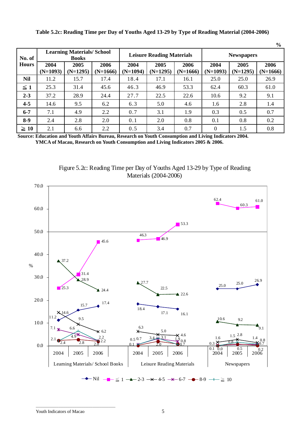| $\frac{6}{6}$ |                                                  |                    |                    |                                  |                    |                    |                    |                    |                    |
|---------------|--------------------------------------------------|--------------------|--------------------|----------------------------------|--------------------|--------------------|--------------------|--------------------|--------------------|
| No. of        | <b>Learning Materials/School</b><br><b>Books</b> |                    |                    | <b>Leisure Reading Materials</b> |                    |                    | <b>Newspapers</b>  |                    |                    |
| <b>Hours</b>  | 2004<br>$(N=1093)$                               | 2005<br>$(N=1295)$ | 2006<br>$(N=1666)$ | 2004<br>$(N=1094)$               | 2005<br>$(N=1295)$ | 2006<br>$(N=1666)$ | 2004<br>$(N=1093)$ | 2005<br>$(N=1295)$ | 2006<br>$(N=1666)$ |
| <b>Nil</b>    | 11.2                                             | 15.7               | 17.4               | 18.4                             | 17.1               | 16.1               | 25.0               | 25.0               | 26.9               |
| $\leq 1$      | 25.3                                             | 31.4               | 45.6               | 46.3                             | 46.9               | 53.3               | 62.4               | 60.3               | 61.0               |
| $2 - 3$       | 37.2                                             | 28.9               | 24.4               | 27.7                             | 22.5               | 22.6               | 10.6               | 9.2                | 9.1                |
| $4 - 5$       | 14.6                                             | 9.5                | 6.2                | 6.3                              | 5.0                | 4.6                | 1.6                | 2.8                | 1.4                |
| $6 - 7$       | 7.1                                              | 4.9                | 2.2                | 0.7                              | 3.1                | 1.9                | 0.3                | 0.5                | 0.7                |
| $8-9$         | 2.4                                              | 2.8                | 2.0                | 0.1                              | 2.0                | 0.8                | 0.1                | 0.8                | 0.2                |
| $\geq 10$     | 2.1                                              | 6.6                | 2.2                | 0.5                              | 3.4                | 0.7                | $\Omega$           | 1.5                | 0.8                |

**Table 5.2c: Reading Time per Day of Youths Aged 13-29 by Type of Reading Material (2004-2006)** 

**Source: Education and Youth Affairs Bureau, Research on Youth Consumption and Living Indicators 2004. YMCA of Macau, Research on Youth Consumption and Living Indicators 2005 & 2006.** 

Figure 5.2c: Reading Time per Day of Youths Aged 13-29 by Type of Reading Materials (2004-2006)



\_\_\_\_\_\_\_\_\_\_\_\_\_\_\_\_\_\_\_\_\_\_\_\_\_\_\_\_\_\_\_\_\_\_\_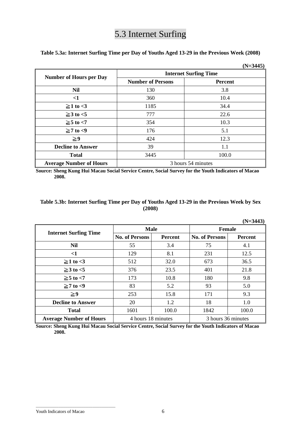# 5.3 Internet Surfing

**Table 5.3a: Internet Surfing Time per Day of Youths Aged 13-29 in the Previous Week (2008)** 

|                                |                              | $(N=3445)$     |  |  |  |
|--------------------------------|------------------------------|----------------|--|--|--|
|                                | <b>Internet Surfing Time</b> |                |  |  |  |
| <b>Number of Hours per Day</b> | <b>Number of Persons</b>     | <b>Percent</b> |  |  |  |
| <b>Nil</b>                     | 130                          | 3.8            |  |  |  |
| $\leq$ 1                       | 360                          | 10.4           |  |  |  |
| $\geq$ 1 to <3                 | 1185                         | 34.4           |  |  |  |
| $\geq$ 3 to <5                 | 777                          | 22.6           |  |  |  |
| $\geq 5$ to $<$ 7              | 354                          | 10.3           |  |  |  |
| $\geq 7$ to <9                 | 176                          | 5.1            |  |  |  |
| $\geq 9$                       | 424                          | 12.3           |  |  |  |
| <b>Decline to Answer</b>       | 39                           | 1.1            |  |  |  |
| <b>Total</b>                   | 3445                         | 100.0          |  |  |  |
| <b>Average Number of Hours</b> | 3 hours 54 minutes           |                |  |  |  |

**Source: Sheng Kung Hui Macau Social Service Centre, Social Survey for the Youth Indicators of Macao 2008.** 

# **Table 5.3b: Internet Surfing Time per Day of Youths Aged 13-29 in the Previous Week by Sex (2008)**

| $(N=3443)$                     |                       |                |                       |                |  |  |  |
|--------------------------------|-----------------------|----------------|-----------------------|----------------|--|--|--|
| <b>Internet Surfing Time</b>   | <b>Male</b>           |                | <b>Female</b>         |                |  |  |  |
|                                | <b>No. of Persons</b> | <b>Percent</b> | <b>No. of Persons</b> | <b>Percent</b> |  |  |  |
| <b>Nil</b>                     | 55                    | 3.4            | 75                    | 4.1            |  |  |  |
| $<$ 1                          | 129                   | 8.1            | 231                   | 12.5           |  |  |  |
| $\geq$ 1 to <3                 | 512<br>32.0           |                | 673                   | 36.5           |  |  |  |
| $\geq$ 3 to <5                 | 376                   | 23.5           | 401                   | 21.8           |  |  |  |
| $\geq 5$ to $< 7$              | 10.8<br>173           |                | 180                   | 9.8            |  |  |  |
| $\geq 7$ to <9                 | 83                    | 5.2            | 93                    | 5.0            |  |  |  |
| $\geq 9$                       | 253                   | 15.8           | 171                   | 9.3            |  |  |  |
| <b>Decline to Answer</b>       | 20                    | 1.2            | 18                    | 1.0            |  |  |  |
| <b>Total</b>                   | 1601                  | 100.0          | 1842                  | 100.0          |  |  |  |
| <b>Average Number of Hours</b> | 4 hours 18 minutes    |                | 3 hours 36 minutes    |                |  |  |  |

**Source: Sheng Kung Hui Macau Social Service Centre, Social Survey for the Youth Indicators of Macao 2008.** 

#### Youth Indicators of Macao 6

\_\_\_\_\_\_\_\_\_\_\_\_\_\_\_\_\_\_\_\_\_\_\_\_\_\_\_\_\_\_\_\_\_\_\_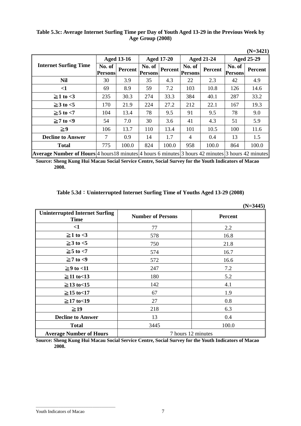# **Table 5.3c: Average Internet Surfing Time per Day of Youth Aged 13-29 in the Previous Week by Age Group (2008)**

|                                                                                                          |                          |                   |                   |                   |                   |                   |                   | $(N=3421)$        |  |
|----------------------------------------------------------------------------------------------------------|--------------------------|-------------------|-------------------|-------------------|-------------------|-------------------|-------------------|-------------------|--|
|                                                                                                          |                          | <b>Aged 13-16</b> |                   | <b>Aged 17-20</b> |                   | <b>Aged 21-24</b> |                   | <b>Aged 25-29</b> |  |
| <b>Internet Surfing Time</b>                                                                             | No. of<br><b>Persons</b> | Percent           | No. of<br>Persons | <b>Percent</b>    | No. of<br>Persons | <b>Percent</b>    | No. of<br>Persons | <b>Percent</b>    |  |
| <b>Nil</b>                                                                                               | 30                       | 3.9               | 35                | 4.3               | 22                | 2.3               | 42                | 4.9               |  |
| $\leq$ 1                                                                                                 | 69                       | 8.9               | 59                | 7.2               | 103               | 10.8              | 126               | 14.6              |  |
| $\geq$ 1 to <3                                                                                           | 235                      | 30.3              | 274               | 33.3              | 384               | 40.1              | 287               | 33.2              |  |
| $\geq$ 3 to <5                                                                                           | 170                      | 21.9              | 224               | 27.2              | 212               | 22.1              | 167               | 19.3              |  |
| $\geq 5$ to $< 7$                                                                                        | 104                      | 13.4              | 78                | 9.5               | 91                | 9.5               | 78                | 9.0               |  |
| $\geq 7$ to <9                                                                                           | 54                       | 7.0               | 30                | 3.6               | 41                | 4.3               | 51                | 5.9               |  |
| $\geq 9$                                                                                                 | 106                      | 13.7              | 110               | 13.4              | 101               | 10.5              | 100               | 11.6              |  |
| <b>Decline to Answer</b>                                                                                 | 7                        | 0.9               | 14                | 1.7               | 4                 | 0.4               | 13                | 1.5               |  |
| <b>Total</b>                                                                                             | 775                      | 100.0             | 824               | 100.0             | 958               | 100.0             | 864               | 100.0             |  |
| $\mu$ repeate Member of Henry 4 beyon 10 minutes 4 beyon Conjunted 2 beyon 40 minutes 2 beyon 40 minutes |                          |                   |                   |                   |                   |                   |                   |                   |  |

**Average Number of Hours** 4 hours 18 minutes 4 hours 6 minutes 3 hours 42 minutes 3 hours 42 minutes **Source: Sheng Kung Hui Macau Social Service Centre, Social Survey for the Youth Indicators of Macao** 

**2008.** 

# **Table 5.3d**:**Uninterrupted Internet Surfing Time of Youths Aged 13-29 (2008)**

|                                                      |                          | $(N=3445)$ |
|------------------------------------------------------|--------------------------|------------|
| <b>Uninterrupted Internet Surfing</b><br><b>Time</b> | <b>Number of Persons</b> | Percent    |
| $\leq$ 1                                             | 77                       | 2.2        |
| $\geq$ 1 to <3                                       | 578                      | 16.8       |
| $\geq$ 3 to <5                                       | 750                      | 21.8       |
| $\geq 5$ to $<$ 7                                    | 574                      | 16.7       |
| $\geq 7$ to <9                                       | 572                      | 16.6       |
| $\geq$ 9 to <11                                      | 247                      | 7.2        |
| $\geq$ 11 to<13                                      | 180                      | 5.2        |
| $\geq$ 13 to<15                                      | 142                      | 4.1        |
| $\geq$ 15 to<17                                      | 67                       | 1.9        |
| $≥17$ to <19                                         | 27                       | 0.8        |
| $\geq$ 19                                            | 218                      | 6.3        |
| <b>Decline to Answer</b>                             | 13                       | 0.4        |
| <b>Total</b>                                         | 3445                     | 100.0      |
| <b>Average Number of Hours</b>                       | 7 hours 12 minutes       |            |

**Source: Sheng Kung Hui Macau Social Service Centre, Social Survey for the Youth Indicators of Macao 2008.** 

\_\_\_\_\_\_\_\_\_\_\_\_\_\_\_\_\_\_\_\_\_\_\_\_\_\_\_\_\_\_\_\_\_\_\_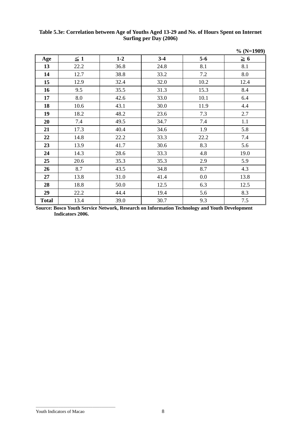# **Table 5.3e: Correlation between Age of Youths Aged 13-29 and No. of Hours Spent on Internet Surfing per Day (2006)**

|              |          |         |       |         | $% (N=1909)$ |
|--------------|----------|---------|-------|---------|--------------|
| Age          | $\leq 1$ | $1 - 2$ | $3-4$ | $5 - 6$ | $\geq 6$     |
| 13           | 22.2     | 36.8    | 24.8  | 8.1     | 8.1          |
| 14           | 12.7     | 38.8    | 33.2  | 7.2     | 8.0          |
| 15           | 12.9     | 32.4    | 32.0  | 10.2    | 12.4         |
| 16           | 9.5      | 35.5    | 31.3  | 15.3    | 8.4          |
| 17           | 8.0      | 42.6    | 33.0  | 10.1    | 6.4          |
| 18           | 10.6     | 43.1    | 30.0  | 11.9    | 4.4          |
| 19           | 18.2     | 48.2    | 23.6  | 7.3     | 2.7          |
| 20           | 7.4      | 49.5    | 34.7  | 7.4     | 1.1          |
| 21           | 17.3     | 40.4    | 34.6  | 1.9     | 5.8          |
| 22           | 14.8     | 22.2    | 33.3  | 22.2    | 7.4          |
| 23           | 13.9     | 41.7    | 30.6  | 8.3     | 5.6          |
| 24           | 14.3     | 28.6    | 33.3  | 4.8     | 19.0         |
| 25           | 20.6     | 35.3    | 35.3  | 2.9     | 5.9          |
| 26           | 8.7      | 43.5    | 34.8  | 8.7     | 4.3          |
| 27           | 13.8     | 31.0    | 41.4  | 0.0     | 13.8         |
| 28           | 18.8     | 50.0    | 12.5  | 6.3     | 12.5         |
| 29           | 22.2     | 44.4    | 19.4  | 5.6     | 8.3          |
| <b>Total</b> | 13.4     | 39.0    | 30.7  | 9.3     | 7.5          |

**Source: Bosco Youth Service Network, Research on Information Technology and Youth Development Indicators 2006.**

\_\_\_\_\_\_\_\_\_\_\_\_\_\_\_\_\_\_\_\_\_\_\_\_\_\_\_\_\_\_\_\_\_\_\_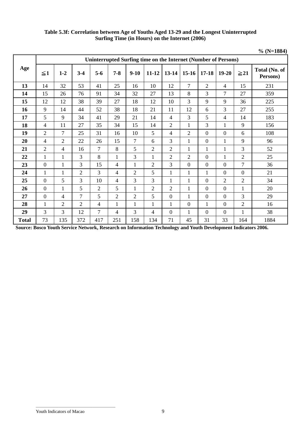| Table 5.3f: Correlation between Age of Youths Aged 13-29 and the Longest Uninterrupted |
|----------------------------------------------------------------------------------------|
| Surfing Time (in Hours) on the Internet (2006)                                         |

|              |                |                |                |                |                |                |                                                                |                |                |                  |                  |                  | $% (N=1884)$              |
|--------------|----------------|----------------|----------------|----------------|----------------|----------------|----------------------------------------------------------------|----------------|----------------|------------------|------------------|------------------|---------------------------|
|              |                |                |                |                |                |                | Uninterrupted Surfing time on the Internet (Number of Persons) |                |                |                  |                  |                  |                           |
| Age          | $\leq 1$       | $1-2$          | $3 - 4$        | $5-6$          | $7 - 8$        | $9 - 10$       | $11 - 12$                                                      | $13-14$        | $15-16$        | $17 - 18$        | $19 - 20$        | $\geq 21$        | Total (No. of<br>Persons) |
| 13           | 14             | 32             | 53             | 41             | 25             | 16             | 10                                                             | 12             | $\tau$         | $\overline{2}$   | $\overline{4}$   | 15               | 231                       |
| 14           | 15             | 26             | 76             | 91             | 34             | 32             | 27                                                             | 13             | 8              | $\overline{3}$   | $\tau$           | 27               | 359                       |
| 15           | 12             | 12             | 38             | 39             | 27             | 18             | 12                                                             | 10             | 3              | 9                | 9                | 36               | 225                       |
| 16           | 9              | 14             | 44             | 52             | 38             | 18             | 21                                                             | 11             | 12             | 6                | 3                | 27               | 255                       |
| 17           | 5              | 9              | 34             | 41             | 29             | 21             | 14                                                             | $\overline{4}$ | 3              | 5                | $\overline{4}$   | 14               | 183                       |
| 18           | $\overline{4}$ | 11             | 27             | 35             | 34             | 15             | 14                                                             | $\overline{2}$ | $\mathbf{1}$   | $\overline{3}$   | $\mathbf{1}$     | 9                | 156                       |
| 19           | $\overline{2}$ | $\overline{7}$ | 25             | 31             | 16             | 10             | 5                                                              | $\overline{4}$ | $\overline{2}$ | $\overline{0}$   | $\overline{0}$   | 6                | 108                       |
| 20           | $\overline{4}$ | $\overline{2}$ | 22             | 26             | 15             | $\overline{7}$ | 6                                                              | 3              | $\mathbf{1}$   | $\overline{0}$   | $\mathbf{1}$     | 9                | 96                        |
| 21           | $\overline{2}$ | 4              | 16             | $\overline{7}$ | 8              | 5              | $\overline{2}$                                                 | $\overline{2}$ | $\mathbf{1}$   | $\mathbf{1}$     | $\mathbf{1}$     | 3                | 52                        |
| 22           | $\mathbf{1}$   | $\mathbf{1}$   | 3              | 8              | $\mathbf{1}$   | 3              | $\mathbf{1}$                                                   | $\overline{2}$ | $\overline{2}$ | $\boldsymbol{0}$ | $\mathbf{1}$     | $\overline{2}$   | 25                        |
| 23           | $\overline{0}$ | $\mathbf{1}$   | $\overline{3}$ | 15             | $\overline{4}$ | $\mathbf{1}$   | $\overline{2}$                                                 | 3              | $\overline{0}$ | $\overline{0}$   | $\overline{0}$   | $\overline{7}$   | 36                        |
| 24           | 1              | $\mathbf{1}$   | $\overline{2}$ | 3              | $\overline{4}$ | $\overline{2}$ | 5                                                              | $\mathbf{1}$   | $\mathbf{1}$   | $\mathbf{1}$     | $\boldsymbol{0}$ | $\boldsymbol{0}$ | 21                        |
| 25           | $\overline{0}$ | 5              | 3              | 10             | 4              | 3              | 3                                                              | $\mathbf{1}$   | 1              | $\boldsymbol{0}$ | $\overline{2}$   | $\overline{2}$   | 34                        |
| 26           | $\overline{0}$ | $\mathbf{1}$   | 5              | $\overline{2}$ | 5              | $\mathbf{1}$   | $\overline{2}$                                                 | $\overline{2}$ | $\mathbf{1}$   | $\overline{0}$   | $\boldsymbol{0}$ | $\mathbf{1}$     | 20                        |
| 27           | $\overline{0}$ | 4              | $\overline{7}$ | 5              | $\overline{2}$ | $\overline{c}$ | 5                                                              | $\overline{0}$ | $\mathbf 1$    | $\boldsymbol{0}$ | $\boldsymbol{0}$ | 3                | 29                        |
| 28           | $\mathbf{1}$   | $\overline{2}$ | $\overline{2}$ | 4              | $\mathbf{1}$   | $\mathbf{1}$   | 1                                                              | $\mathbf{1}$   | $\mathbf{0}$   | $\mathbf{1}$     | $\boldsymbol{0}$ | $\overline{2}$   | 16                        |
| 29           | $\overline{3}$ | 3              | 12             | $\tau$         | 4              | 3              | 4                                                              | $\overline{0}$ | 1              | $\overline{0}$   | $\boldsymbol{0}$ | $\mathbf{1}$     | 38                        |
| <b>Total</b> | 73             | 135            | 372            | 417            | 251            | 158            | 134                                                            | 71             | 45             | 31               | 33               | 164              | 1884                      |

**Source: Bosco Youth Service Network, Research on Information Technology and Youth Development Indicators 2006.**

\_\_\_\_\_\_\_\_\_\_\_\_\_\_\_\_\_\_\_\_\_\_\_\_\_\_\_\_\_\_\_\_\_\_\_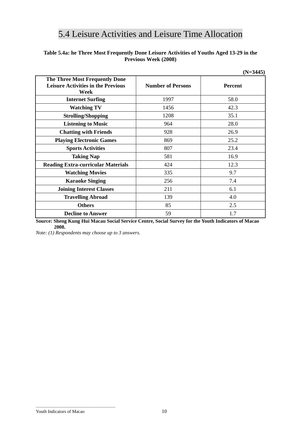# 5.4 Leisure Activities and Leisure Time Allocation

# **Table 5.4a: he Three Most Frequently Done Leisure Activities of Youths Aged 13-29 in the Previous Week (2008)**

|                                                                                            |                          | $(N=3445)$     |
|--------------------------------------------------------------------------------------------|--------------------------|----------------|
| <b>The Three Most Frequently Done</b><br><b>Leisure Activities in the Previous</b><br>Week | <b>Number of Persons</b> | <b>Percent</b> |
| <b>Internet Surfing</b>                                                                    | 1997                     | 58.0           |
| <b>Watching TV</b>                                                                         | 1456                     | 42.3           |
| <b>Strolling/Shopping</b>                                                                  | 1208                     | 35.1           |
| <b>Listening to Music</b>                                                                  | 964                      | 28.0           |
| <b>Chatting with Friends</b>                                                               | 928                      | 26.9           |
| <b>Playing Electronic Games</b>                                                            | 869                      | 25.2           |
| <b>Sports Activities</b>                                                                   | 807                      | 23.4           |
| <b>Taking Nap</b>                                                                          | 581                      | 16.9           |
| <b>Reading Extra-curricular Materials</b>                                                  | 424                      | 12.3           |
| <b>Watching Movies</b>                                                                     | 335                      | 9.7            |
| <b>Karaoke Singing</b>                                                                     | 256                      | 7.4            |
| <b>Joining Interest Classes</b>                                                            | 211                      | 6.1            |
| <b>Travelling Abroad</b>                                                                   | 139                      | 4.0            |
| <b>Others</b>                                                                              | 85                       | 2.5            |
| <b>Decline to Answer</b>                                                                   | 59                       | 1.7            |

**Source: Sheng Kung Hui Macau Social Service Centre, Social Survey for the Youth Indicators of Macao 2008.** 

*Note: (1) Respondents may choose up to 3 answers.*

\_\_\_\_\_\_\_\_\_\_\_\_\_\_\_\_\_\_\_\_\_\_\_\_\_\_\_\_\_\_\_\_\_\_\_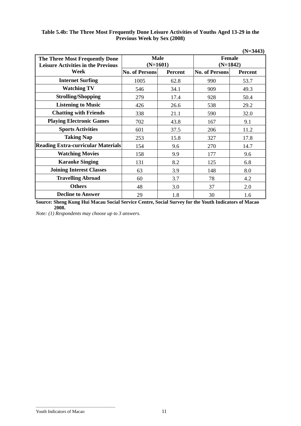|                                                                             |                           |                |                             | $(N=3443)$     |  |
|-----------------------------------------------------------------------------|---------------------------|----------------|-----------------------------|----------------|--|
| The Three Most Frequently Done<br><b>Leisure Activities in the Previous</b> | <b>Male</b><br>$(N=1601)$ |                | <b>Female</b><br>$(N=1842)$ |                |  |
| Week                                                                        | <b>No. of Persons</b>     | <b>Percent</b> | <b>No. of Persons</b>       | <b>Percent</b> |  |
| <b>Internet Surfing</b>                                                     | 1005                      | 62.8           | 990                         | 53.7           |  |
| <b>Watching TV</b>                                                          | 546                       | 34.1           | 909                         | 49.3           |  |
| <b>Strolling/Shopping</b>                                                   | 279                       | 17.4           | 928                         | 50.4           |  |
| <b>Listening to Music</b>                                                   | 426                       | 26.6           | 538                         | 29.2           |  |
| <b>Chatting with Friends</b>                                                | 338                       | 21.1           | 590                         | 32.0           |  |
| <b>Playing Electronic Games</b>                                             | 702                       | 43.8           | 167                         | 9.1            |  |
| <b>Sports Activities</b>                                                    | 601                       | 37.5           | 206                         | 11.2           |  |
| <b>Taking Nap</b>                                                           | 253                       | 15.8           | 327                         | 17.8           |  |
| <b>Reading Extra-curricular Materials</b>                                   | 154                       | 9.6            | 270                         | 14.7           |  |
| <b>Watching Movies</b>                                                      | 158                       | 9.9            | 177                         | 9.6            |  |
| <b>Karaoke Singing</b>                                                      | 131                       | 8.2            | 125                         | 6.8            |  |
| <b>Joining Interest Classes</b>                                             | 63                        | 3.9            | 148                         | 8.0            |  |
| <b>Travelling Abroad</b>                                                    | 60                        | 3.7            | 78                          | 4.2            |  |
| <b>Others</b>                                                               | 48                        | 3.0            | 37                          | 2.0            |  |
| <b>Decline to Answer</b>                                                    | 29                        | 1.8            | 30                          | 1.6            |  |

# **Table 5.4b: The Three Most Frequently Done Leisure Activities of Youths Aged 13-29 in the Previous Week by Sex (2008)**

**Source: Sheng Kung Hui Macau Social Service Centre, Social Survey for the Youth Indicators of Macao 2008.** 

*Note: (1) Respondents may choose up to 3 answers.* 

\_\_\_\_\_\_\_\_\_\_\_\_\_\_\_\_\_\_\_\_\_\_\_\_\_\_\_\_\_\_\_\_\_\_\_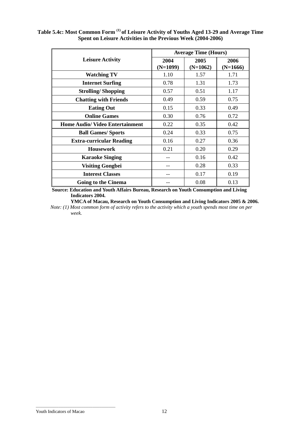|                                        |                    | <b>Average Time (Hours)</b> |                    |
|----------------------------------------|--------------------|-----------------------------|--------------------|
| <b>Leisure Activity</b>                | 2004<br>$(N=1099)$ | 2005<br>$(N=1062)$          | 2006<br>$(N=1666)$ |
| <b>Watching TV</b>                     | 1.10               | 1.57                        | 1.71               |
| <b>Internet Surfing</b>                | 0.78               | 1.31                        | 1.73               |
| <b>Strolling/Shopping</b>              | 0.57               | 0.51                        | 1.17               |
| <b>Chatting with Friends</b>           | 0.49               | 0.59                        | 0.75               |
| <b>Eating Out</b>                      | 0.15               | 0.33                        | 0.49               |
| <b>Online Games</b>                    | 0.30               | 0.76                        | 0.72               |
| <b>Home Audio/ Video Entertainment</b> | 0.22               | 0.35                        | 0.42               |
| <b>Ball Games/ Sports</b>              | 0.24               | 0.33                        | 0.75               |
| <b>Extra-curricular Reading</b>        | 0.16               | 0.27                        | 0.36               |
| <b>Housework</b>                       | 0.21               | 0.20                        | 0.29               |
| <b>Karaoke Singing</b>                 |                    | 0.16                        | 0.42               |
| <b>Visiting Gongbei</b>                |                    | 0.28                        | 0.33               |
| <b>Interest Classes</b>                |                    | 0.17                        | 0.19               |
| <b>Going to the Cinema</b>             |                    | 0.08                        | 0.13               |

**Table 5.4c: Most Common Form (1) of Leisure Activity of Youths Aged 13-29 and Average Time Spent on Leisure Activities in the Previous Week (2004-2006)** 

**Source: Education and Youth Affairs Bureau, Research on Youth Consumption and Living Indicators 2004.** 

**YMCA of Macau, Research on Youth Consumption and Living Indicators 2005 & 2006.** 

*Note: (1) Most common form of activity refers to the activity which a youth spends most time on per week.* 

\_\_\_\_\_\_\_\_\_\_\_\_\_\_\_\_\_\_\_\_\_\_\_\_\_\_\_\_\_\_\_\_\_\_\_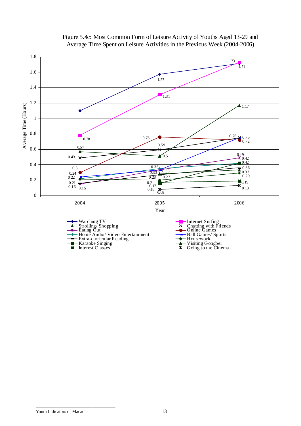

# Figure 5.4c: Most Common Form of Leisure Activity of Youths Aged 13-29 and Average Time Spent on Leisure Activities in the Previous Week (2004-2006)

\_\_\_\_\_\_\_\_\_\_\_\_\_\_\_\_\_\_\_\_\_\_\_\_\_\_\_\_\_\_\_\_\_\_\_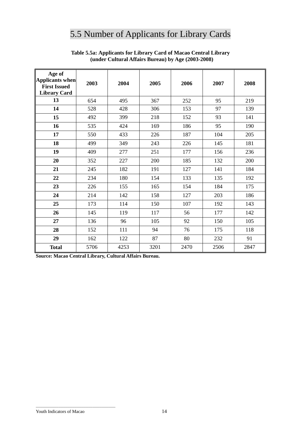# 5.5 Number of Applicants for Library Cards

| Age of<br><b>Applicants when</b><br><b>First Issued</b><br><b>Library Card</b> | 2003 | 2004 | 2005 | 2006 | 2007 | 2008 |
|--------------------------------------------------------------------------------|------|------|------|------|------|------|
| 13                                                                             | 654  | 495  | 367  | 252  | 95   | 219  |
| 14                                                                             | 528  | 428  | 306  | 153  | 97   | 139  |
| 15                                                                             | 492  | 399  | 218  | 152  | 93   | 141  |
| 16                                                                             | 535  | 424  | 169  | 186  | 95   | 190  |
| 17                                                                             | 550  | 433  | 226  | 187  | 104  | 205  |
| 18                                                                             | 499  | 349  | 243  | 226  | 145  | 181  |
| 19                                                                             | 409  | 277  | 251  | 177  | 156  | 236  |
| 20                                                                             | 352  | 227  | 200  | 185  | 132  | 200  |
| 21                                                                             | 245  | 182  | 191  | 127  | 141  | 184  |
| 22                                                                             | 234  | 180  | 154  | 133  | 135  | 192  |
| 23                                                                             | 226  | 155  | 165  | 154  | 184  | 175  |
| 24                                                                             | 214  | 142  | 158  | 127  | 203  | 186  |
| 25                                                                             | 173  | 114  | 150  | 107  | 192  | 143  |
| 26                                                                             | 145  | 119  | 117  | 56   | 177  | 142  |
| 27                                                                             | 136  | 96   | 105  | 92   | 150  | 105  |
| 28                                                                             | 152  | 111  | 94   | 76   | 175  | 118  |
| 29                                                                             | 162  | 122  | 87   | 80   | 232  | 91   |
| <b>Total</b>                                                                   | 5706 | 4253 | 3201 | 2470 | 2506 | 2847 |

# **Table 5.5a: Applicants for Library Card of Macao Central Library (under Cultural Affairs Bureau) by Age (2003-2008)**

**Source: Macao Central Library, Cultural Affairs Bureau.** 

\_\_\_\_\_\_\_\_\_\_\_\_\_\_\_\_\_\_\_\_\_\_\_\_\_\_\_\_\_\_\_\_\_\_\_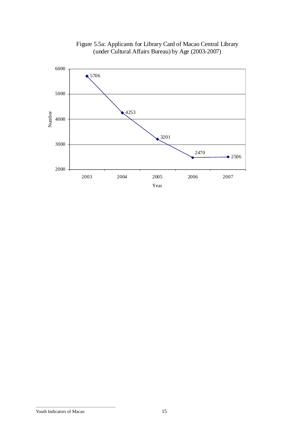

Figure 5.5a: Applicants for Library Card of Macao Central Library (under Cultural Affairs Bureau) by Age (2003-2007)

\_\_\_\_\_\_\_\_\_\_\_\_\_\_\_\_\_\_\_\_\_\_\_\_\_\_\_\_\_\_\_\_\_\_\_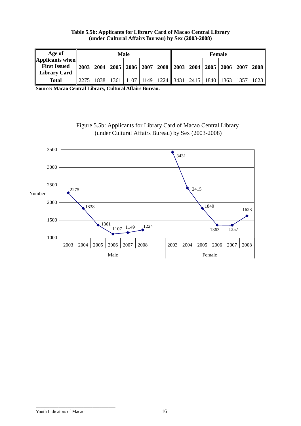# **Table 5.5b: Applicants for Library Card of Macao Central Library (under Cultural Affairs Bureau) by Sex (2003-2008)**

| Age of                                         |      | Male |  |  |  |                                                                                         |  | <b>Female</b> |  |  |  |      |
|------------------------------------------------|------|------|--|--|--|-----------------------------------------------------------------------------------------|--|---------------|--|--|--|------|
| $\Delta$ pplicants when<br><b>First Issued</b> |      |      |  |  |  | $\parallel$ 2003   2004   2005   2006   2007   2008    2003   2004   2005   2006   2007 |  |               |  |  |  | 2008 |
| <b>Library Card</b>                            |      |      |  |  |  |                                                                                         |  |               |  |  |  |      |
| <b>Total</b>                                   | 2275 |      |  |  |  | 1838   1361   1107   1149   1224    3431   2415   1840   1363   1357                    |  |               |  |  |  | 1623 |

**Source: Macao Central Library, Cultural Affairs Bureau.** 





\_\_\_\_\_\_\_\_\_\_\_\_\_\_\_\_\_\_\_\_\_\_\_\_\_\_\_\_\_\_\_\_\_\_\_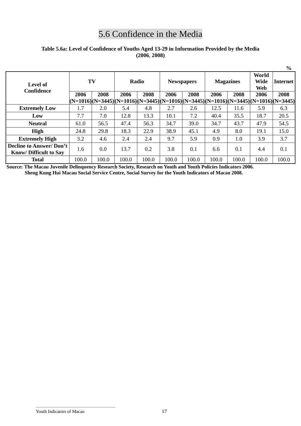# 5.6 Confidence in the Media

# **Table 5.6a: Level of Confidence of Youths Aged 13-29 in Information Provided by the Media (2006**, **2008)**

|                                                                |             |                                                                                     |       |                   |       |                  |       |                             |                 | $\frac{0}{0}$ |
|----------------------------------------------------------------|-------------|-------------------------------------------------------------------------------------|-------|-------------------|-------|------------------|-------|-----------------------------|-----------------|---------------|
| Level of<br><b>Confidence</b>                                  | TV<br>Radio |                                                                                     |       | <b>Newspapers</b> |       | <b>Magazines</b> |       | World<br><b>Wide</b><br>Web | <b>Internet</b> |               |
|                                                                | 2006        | 2008                                                                                | 2006  | 2008              | 2006  | 2008             | 2006  | 2008                        | 2006            | 2008          |
|                                                                |             | $ (N=1016)(N=3445)(N=1016)(N=3445)(N=1016)(N=3445)(N=1016)(N=3445)(N=1016)(N=3445)$ |       |                   |       |                  |       |                             |                 |               |
| <b>Extremely Low</b>                                           | 1.7         | 2.0                                                                                 | 5.4   | 4.8               | 2.7   | 2.6              | 12.5  | 11.6                        | 5.9             | 6.3           |
| Low                                                            | 7.7         | 7.0                                                                                 | 12.8  | 13.3              | 10.1  | 7.2              | 40.4  | 35.5                        | 18.7            | 20.5          |
| <b>Neutral</b>                                                 | 61.0        | 56.5                                                                                | 47.4  | 56.3              | 34.7  | 39.0             | 34.7  | 43.7                        | 47.9            | 54.5          |
| High                                                           | 24.8        | 29.8                                                                                | 18.3  | 22.9              | 38.9  | 45.1             | 4.9   | 8.0                         | 19.1            | 15.0          |
| <b>Extremely High</b>                                          | 3.2         | 4.6                                                                                 | 2.4   | 2.4               | 9.7   | 5.9              | 0.9   | $1.0\,$                     | 3.9             | 3.7           |
| <b>Decline to Answer/Don't</b><br><b>Know/Difficult to Sav</b> | 1.6         | 0.0                                                                                 | 13.7  | 0.2               | 3.8   | 0.1              | 6.6   | 0.1                         | 4.4             | 0.1           |
| <b>Total</b>                                                   | 100.0       | 100.0                                                                               | 100.0 | 100.0             | 100.0 | 100.0            | 100.0 | 100.0                       | 100.0           | 100.0         |

**Source: The Macau Juvenile Delinquency Research Society, Research on Youth and Youth Policies Indicators 2006. Sheng Kung Hui Macau Social Service Centre, Social Survey for the Youth Indicators of Macao 2008.** 

#### Youth Indicators of Macao 17

\_\_\_\_\_\_\_\_\_\_\_\_\_\_\_\_\_\_\_\_\_\_\_\_\_\_\_\_\_\_\_\_\_\_\_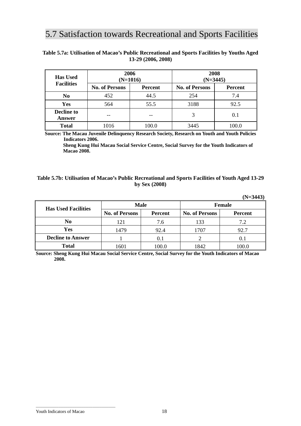# 5.7 Satisfaction towards Recreational and Sports Facilities

| <b>Has Used</b>             | 2006<br>$(N=1016)$    |                | 2008<br>$(N=3445)$    |                |  |  |
|-----------------------------|-----------------------|----------------|-----------------------|----------------|--|--|
| <b>Facilities</b>           | <b>No. of Persons</b> | <b>Percent</b> | <b>No. of Persons</b> | <b>Percent</b> |  |  |
| N <sub>0</sub>              | 452                   | 44.5           | 254                   | 7.4            |  |  |
| <b>Yes</b>                  | 564                   | 55.5           | 3188                  | 92.5           |  |  |
| <b>Decline to</b><br>Answer |                       |                | 3                     | 0.1            |  |  |
| <b>Total</b>                | 1016                  | 100.0          | 3445                  | 100.0          |  |  |

# **Table 5.7a: Utilisation of Macao's Public Recreational and Sports Facilities by Youths Aged 13-29 (2006, 2008)**

**Source: The Macau Juvenile Delinquency Research Society, Research on Youth and Youth Policies Indicators 2006.** 

**Sheng Kung Hui Macau Social Service Centre, Social Survey for the Youth Indicators of Macao 2008.**

### **Table 5.7b: Utilisation of Macao's Public Recreational and Sports Facilities of Youth Aged 13-29 by Sex (2008)**

|                            |                       |         |                       | $(N=3443)$     |  |  |
|----------------------------|-----------------------|---------|-----------------------|----------------|--|--|
| <b>Has Used Facilities</b> | <b>Male</b>           |         | <b>Female</b>         |                |  |  |
|                            | <b>No. of Persons</b> | Percent | <b>No. of Persons</b> | <b>Percent</b> |  |  |
| N <sub>0</sub>             | 121                   | 7.6     | 133                   | 7.2            |  |  |
| Yes                        | 1479                  | 92.4    | 1707                  | 92.7           |  |  |
| <b>Decline to Answer</b>   |                       | 0.1     |                       | 0.1            |  |  |
| <b>Total</b>               | 1601                  | 100.0   | 1842                  | 100.0          |  |  |

**Source: Sheng Kung Hui Macau Social Service Centre, Social Survey for the Youth Indicators of Macao 2008.** 

Youth Indicators of Macao 18

\_\_\_\_\_\_\_\_\_\_\_\_\_\_\_\_\_\_\_\_\_\_\_\_\_\_\_\_\_\_\_\_\_\_\_

 $\overline{a}$ 

**(N=3443)**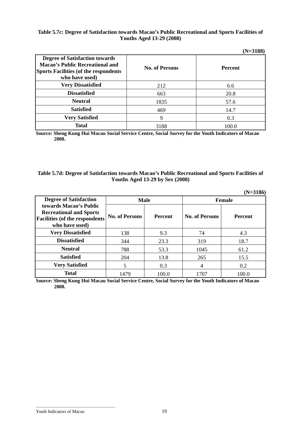# **Table 5.7c: Degree of Satisfaction towards Macao's Public Recreational and Sports Facilities of Youths Aged 13-29 (2008)**

**(N=3188)** 

|                                                                                                                                                   |                       | (11–7100)      |
|---------------------------------------------------------------------------------------------------------------------------------------------------|-----------------------|----------------|
| <b>Degree of Satisfaction towards</b><br><b>Macao's Public Recreational and</b><br><b>Sports Facilities (of the respondents</b><br>who have used) | <b>No. of Persons</b> | <b>Percent</b> |
| <b>Very Dissatisfied</b>                                                                                                                          | 212                   | 6.6            |
| <b>Dissatisfied</b>                                                                                                                               | 663                   | 20.8           |
| <b>Neutral</b>                                                                                                                                    | 1835                  | 57.6           |
| <b>Satisfied</b>                                                                                                                                  | 469                   | 14.7           |
| <b>Very Satisfied</b>                                                                                                                             | 9                     | 0.3            |
| <b>Total</b>                                                                                                                                      | 3188                  | 100.0          |

**Source: Sheng Kung Hui Macau Social Service Centre, Social Survey for the Youth Indicators of Macao 2008.** 

### **Table 5.7d: Degree of Satisfaction towards Macao's Public Recreational and Sports Facilities of Youths Aged 13-29 by Sex (2008)**

|                                                                         |                       |                |                       | $(N=3186)$     |  |  |
|-------------------------------------------------------------------------|-----------------------|----------------|-----------------------|----------------|--|--|
| <b>Degree of Satisfaction</b>                                           |                       | <b>Male</b>    | <b>Female</b>         |                |  |  |
| towards Macao's Public                                                  |                       |                |                       |                |  |  |
| <b>Recreational and Sports</b><br><b>Facilities (of the respondents</b> | <b>No. of Persons</b> | <b>Percent</b> | <b>No. of Persons</b> | <b>Percent</b> |  |  |
| who have used)                                                          |                       |                |                       |                |  |  |
| <b>Very Dissatisfied</b>                                                | 138                   | 9.3            | 74                    | 4.3            |  |  |
| <b>Dissatisfied</b>                                                     | 344                   | 23.3           | 319                   | 18.7           |  |  |
| <b>Neutral</b>                                                          | 788                   | 53.3           | 1045                  | 61.2           |  |  |
| <b>Satisfied</b>                                                        | 204                   | 13.8           | 265                   | 15.5           |  |  |
| <b>Very Satisfied</b>                                                   | 5                     | 0.3            | 4                     | 0.2            |  |  |
| <b>Total</b>                                                            | 1479                  | 100.0          | 1707                  | 100.0          |  |  |

**Source: Sheng Kung Hui Macau Social Service Centre, Social Survey for the Youth Indicators of Macao 2008.** 

\_\_\_\_\_\_\_\_\_\_\_\_\_\_\_\_\_\_\_\_\_\_\_\_\_\_\_\_\_\_\_\_\_\_\_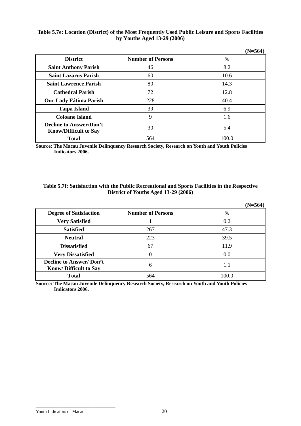# **Table 5.7e: Location (District) of the Most Frequently Used Public Leisure and Sports Facilities by Youths Aged 13-29 (2006)**

|                                                                |                          | $(N=564)$     |
|----------------------------------------------------------------|--------------------------|---------------|
| <b>District</b>                                                | <b>Number of Persons</b> | $\frac{6}{6}$ |
| <b>Saint Anthony Parish</b>                                    | 46                       | 8.2           |
| <b>Saint Lazarus Parish</b>                                    | 60                       | 10.6          |
| <b>Saint Lawrence Parish</b>                                   | 80                       | 14.3          |
| <b>Cathedral Parish</b>                                        | 72                       | 12.8          |
| <b>Our Lady Fátima Parish</b>                                  | 228                      | 40.4          |
| <b>Taipa Island</b>                                            | 39                       | 6.9           |
| <b>Coloane Island</b>                                          | 9                        | 1.6           |
| <b>Decline to Answer/Don't</b><br><b>Know/Difficult to Say</b> | 30                       | 5.4           |
| <b>Total</b>                                                   | 564                      | 100.0         |

**Source: The Macau Juvenile Delinquency Research Society, Research on Youth and Youth Policies Indicators 2006.**

### **Table 5.7f: Satisfaction with the Public Recreational and Sports Facilities in the Respective District of Youths Aged 13-29 (2006)**

|                                                                |                          | $(N=564)$     |
|----------------------------------------------------------------|--------------------------|---------------|
| <b>Degree of Satisfaction</b>                                  | <b>Number of Persons</b> | $\frac{6}{6}$ |
| <b>Very Satisfied</b>                                          |                          | 0.2           |
| <b>Satisfied</b>                                               | 267                      | 47.3          |
| <b>Neutral</b>                                                 | 223                      | 39.5          |
| <b>Dissatisfied</b>                                            | 67                       | 11.9          |
| <b>Very Dissatisfied</b>                                       |                          | 0.0           |
| <b>Decline to Answer/Don't</b><br><b>Know/Difficult to Say</b> | 6                        | 1.1           |
| <b>Total</b>                                                   | 564                      | 100.0         |

**Source: The Macau Juvenile Delinquency Research Society, Research on Youth and Youth Policies Indicators 2006.**

\_\_\_\_\_\_\_\_\_\_\_\_\_\_\_\_\_\_\_\_\_\_\_\_\_\_\_\_\_\_\_\_\_\_\_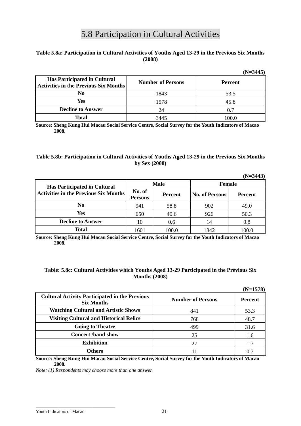# 5.8 Participation in Cultural Activities

# **Table 5.8a: Participation in Cultural Activities of Youths Aged 13-29 in the Previous Six Months (2008)**

|                                                                                     |                          | $(N=3445)$     |
|-------------------------------------------------------------------------------------|--------------------------|----------------|
| <b>Has Participated in Cultural</b><br><b>Activities in the Previous Six Months</b> | <b>Number of Persons</b> | <b>Percent</b> |
| No                                                                                  | 1843                     | 53.5           |
| Yes                                                                                 | 1578                     | 45.8           |
| <b>Decline to Answer</b>                                                            | 24                       | 0.7            |
| <b>Total</b>                                                                        | 3445                     | 100.0          |

**Source: Sheng Kung Hui Macau Social Service Centre, Social Survey for the Youth Indicators of Macao 2008.** 

### **Table 5.8b: Participation in Cultural Activities of Youths Aged 13-29 in the Previous Six Months by Sex (2008)**

|                                                                                     |                          |         |                       | $(N=3443)$     |
|-------------------------------------------------------------------------------------|--------------------------|---------|-----------------------|----------------|
| <b>Has Participated in Cultural</b><br><b>Activities in the Previous Six Months</b> | <b>Male</b>              |         | <b>Female</b>         |                |
|                                                                                     | No. of<br><b>Persons</b> | Percent | <b>No. of Persons</b> | <b>Percent</b> |
| N <sub>0</sub>                                                                      | 941                      | 58.8    | 902                   | 49.0           |
| Yes                                                                                 | 650                      | 40.6    | 926                   | 50.3           |
| <b>Decline to Answer</b>                                                            | 10                       | 0.6     | 14                    | 0.8            |
| <b>Total</b>                                                                        | 1601                     | 100.0   | 1842                  | 100.0          |

**Source: Sheng Kung Hui Macau Social Service Centre, Social Survey for the Youth Indicators of Macao 2008.** 

### **Table: 5.8c: Cultural Activities which Youths Aged 13-29 Participated in the Previous Six Months (2008)**

|                                                                            |                          | $(N=1578)$     |
|----------------------------------------------------------------------------|--------------------------|----------------|
| <b>Cultural Activity Participated in the Previous</b><br><b>Six Months</b> | <b>Number of Persons</b> | <b>Percent</b> |
| <b>Watching Cultural and Artistic Shows</b>                                | 841                      | 53.3           |
| <b>Visiting Cultural and Historical Relics</b>                             | 768                      | 48.7           |
| <b>Going to Theatre</b>                                                    | 499                      | 31.6           |
| <b>Concert /band show</b>                                                  | 25                       | 1.6            |
| <b>Exhibition</b>                                                          | 27                       | 1.7            |
| <b>Others</b>                                                              |                          |                |

**Source: Sheng Kung Hui Macau Social Service Centre, Social Survey for the Youth Indicators of Macao 2008.** 

*Note: (1) Respondents may choose more than one answer.* 

\_\_\_\_\_\_\_\_\_\_\_\_\_\_\_\_\_\_\_\_\_\_\_\_\_\_\_\_\_\_\_\_\_\_\_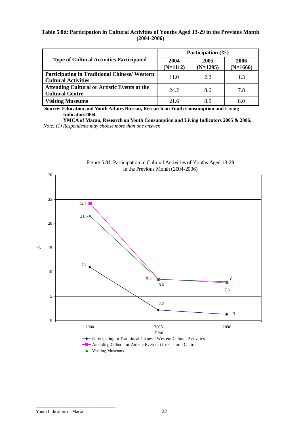### **Table 5.8d: Participation in Cultural Activities of Youths Aged 13-29 in the Previous Month (2004-2006)**

|                                                                                    | Participation $(\% )$ |                    |                    |
|------------------------------------------------------------------------------------|-----------------------|--------------------|--------------------|
| <b>Type of Cultural Activities Participated</b>                                    | 2004<br>$(N=1112)$    | 2005<br>$(N=1295)$ | 2006<br>$(N=1666)$ |
| <b>Participating in Traditional Chinese/ Western</b><br><b>Cultural Activities</b> | 11.0                  | 2.2                | 1.3                |
| <b>Attending Cultural or Artistic Events at the</b><br><b>Cultural Centre</b>      | 24.2                  | 8.6                | 7.8                |
| <b>Visiting Museums</b>                                                            | 21.6                  | 8.5                | 8.0                |

**Source: Education and Youth Affairs Bureau, Research on Youth Consumption and Living Indicators2004.** 

**YMCA of Macau, Research on Youth Consumption and Living Indicators 2005 & 2006.**  *Note: (1) Respondents may choose more than one answer.* 



Figure 5.8d: Participation in Cultural Activities of Youths Aged 13-29 in the Previous Month (2004-2006)

\_\_\_\_\_\_\_\_\_\_\_\_\_\_\_\_\_\_\_\_\_\_\_\_\_\_\_\_\_\_\_\_\_\_\_